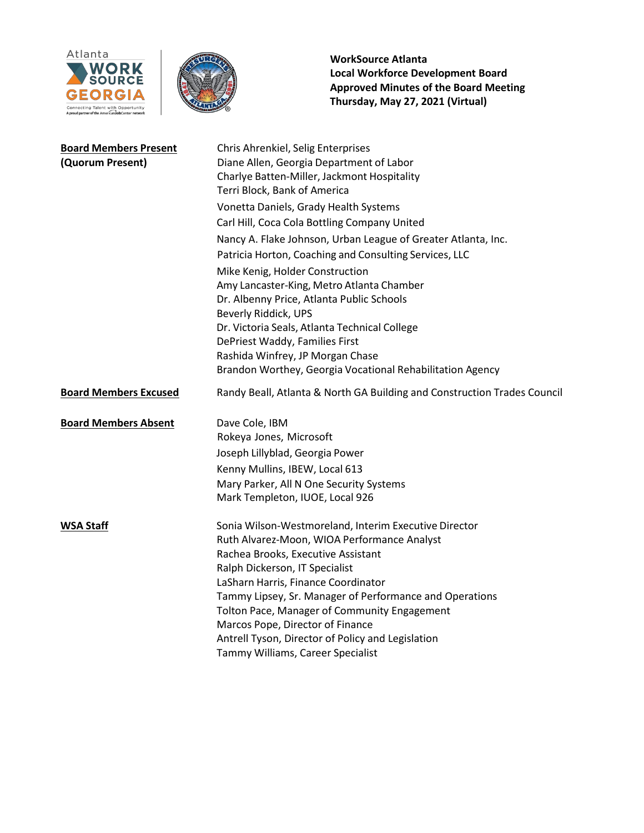



| <b>Board Members Present</b><br>(Quorum Present) | Chris Ahrenkiel, Selig Enterprises<br>Diane Allen, Georgia Department of Labor<br>Charlye Batten-Miller, Jackmont Hospitality<br>Terri Block, Bank of America<br>Vonetta Daniels, Grady Health Systems<br>Carl Hill, Coca Cola Bottling Company United<br>Nancy A. Flake Johnson, Urban League of Greater Atlanta, Inc.<br>Patricia Horton, Coaching and Consulting Services, LLC<br>Mike Kenig, Holder Construction<br>Amy Lancaster-King, Metro Atlanta Chamber<br>Dr. Albenny Price, Atlanta Public Schools<br>Beverly Riddick, UPS<br>Dr. Victoria Seals, Atlanta Technical College |
|--------------------------------------------------|-----------------------------------------------------------------------------------------------------------------------------------------------------------------------------------------------------------------------------------------------------------------------------------------------------------------------------------------------------------------------------------------------------------------------------------------------------------------------------------------------------------------------------------------------------------------------------------------|
|                                                  | DePriest Waddy, Families First<br>Rashida Winfrey, JP Morgan Chase<br>Brandon Worthey, Georgia Vocational Rehabilitation Agency                                                                                                                                                                                                                                                                                                                                                                                                                                                         |
| <b>Board Members Excused</b>                     | Randy Beall, Atlanta & North GA Building and Construction Trades Council                                                                                                                                                                                                                                                                                                                                                                                                                                                                                                                |
| <b>Board Members Absent</b>                      | Dave Cole, IBM<br>Rokeya Jones, Microsoft<br>Joseph Lillyblad, Georgia Power<br>Kenny Mullins, IBEW, Local 613<br>Mary Parker, All N One Security Systems<br>Mark Templeton, IUOE, Local 926                                                                                                                                                                                                                                                                                                                                                                                            |
| <b>WSA Staff</b>                                 | Sonia Wilson-Westmoreland, Interim Executive Director<br>Ruth Alvarez-Moon, WIOA Performance Analyst<br>Rachea Brooks, Executive Assistant<br>Ralph Dickerson, IT Specialist<br>LaSharn Harris, Finance Coordinator<br>Tammy Lipsey, Sr. Manager of Performance and Operations<br>Tolton Pace, Manager of Community Engagement<br>Marcos Pope, Director of Finance<br>Antrell Tyson, Director of Policy and Legislation<br>Tammy Williams, Career Specialist                                                                                                                            |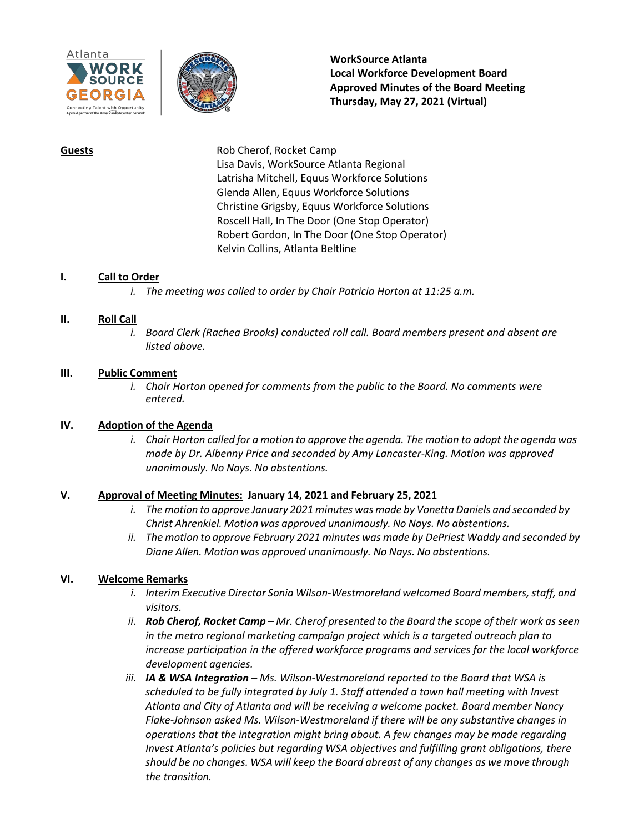



**Guests** Rob Cherof, Rocket Camp Lisa Davis, WorkSource Atlanta Regional Latrisha Mitchell, Equus Workforce Solutions Glenda Allen, Equus Workforce Solutions Christine Grigsby, Equus Workforce Solutions Roscell Hall, In The Door (One Stop Operator) Robert Gordon, In The Door (One Stop Operator) Kelvin Collins, Atlanta Beltline

#### **I. Call to Order**

*i. The meeting was called to order by Chair Patricia Horton at 11:25 a.m.*

#### **II. Roll Call**

*i. Board Clerk (Rachea Brooks) conducted roll call. Board members present and absent are listed above.*

#### **III. Public Comment**

*i. Chair Horton opened for comments from the public to the Board. No comments were entered.*

# **IV. Adoption of the Agenda**

*i. Chair Horton called for a motion to approve the agenda. The motion to adopt the agenda was made by Dr. Albenny Price and seconded by Amy Lancaster-King. Motion was approved unanimously. No Nays. No abstentions.*

#### **V. Approval of Meeting Minutes: January 14, 2021 and February 25, 2021**

- *i. The motion to approve January 2021 minutes was made by Vonetta Daniels and seconded by Christ Ahrenkiel. Motion was approved unanimously. No Nays. No abstentions.*
- *ii. The motion to approve February 2021 minutes was made by DePriest Waddy and seconded by Diane Allen. Motion was approved unanimously. No Nays. No abstentions.*

# **VI. Welcome Remarks**

- *i. Interim Executive Director Sonia Wilson-Westmoreland welcomed Board members,staff, and visitors.*
- ii. Rob Cherof, Rocket Camp Mr. Cherof presented to the Board the scope of their work as seen *in the metro regional marketing campaign project which is a targeted outreach plan to increase participation in the offered workforce programs and services for the local workforce development agencies.*
- *iii.* **IA & WSA Integration** Ms. Wilson-Westmoreland reported to the Board that WSA is *scheduled to be fully integrated by July 1. Staff attended a town hall meeting with Invest Atlanta and City of Atlanta and will be receiving a welcome packet. Board member Nancy Flake-Johnson asked Ms. Wilson-Westmoreland if there will be any substantive changes in operations that the integration might bring about. A few changes may be made regarding Invest Atlanta's policies but regarding WSA objectives and fulfilling grant obligations, there should be no changes. WSA will keep the Board abreast of any changes as we move through the transition.*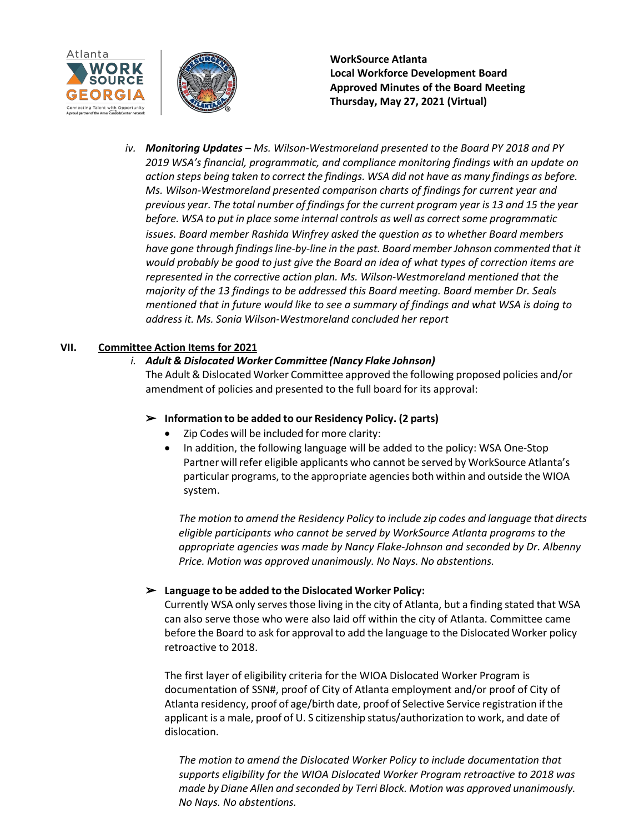



*iv. Monitoring Updates – Ms. Wilson-Westmoreland presented to the Board PY 2018 and PY 2019 WSA's financial, programmatic, and compliance monitoring findings with an update on action steps being taken to correct the findings. WSA did not have as many findings as before. Ms. Wilson-Westmoreland presented comparison charts of findings for current year and previous year. The total number of findings for the current program year is 13 and 15 the year before. WSA to put in place some internal controls as well as correctsome programmatic issues. Board member Rashida Winfrey asked the question as to whether Board members have gone through findingsline-by-line in the past. Board member Johnson commented that it would probably be good to just give the Board an idea of what types of correction items are represented in the corrective action plan. Ms. Wilson-Westmoreland mentioned that the majority of the 13 findings to be addressed this Board meeting. Board member Dr. Seals mentioned that in future would like to see a summary of findings and what WSA is doing to address it. Ms. Sonia Wilson-Westmoreland concluded her report*

# **VII. Committee Action Items for 2021**

# *i. Adult & Dislocated Worker Committee (Nancy Flake Johnson)*

The Adult& Dislocated Worker Committee approved the following proposed policies and/or amendment of policies and presented to the full board for its approval:

#### ➢ **Information to be added to our Residency Policy. (2 parts)**

- Zip Codes will be included for more clarity:
- In addition, the following language will be added to the policy: WSA One-Stop Partner will refer eligible applicants who cannot be served by WorkSource Atlanta's particular programs, to the appropriate agencies both within and outside the WIOA system.

*The motion to amend the Residency Policy to include zip codes and language that directs eligible participants who cannot be served by WorkSource Atlanta programs to the appropriate agencies was made by Nancy Flake-Johnson and seconded by Dr. Albenny Price. Motion was approved unanimously. No Nays. No abstentions.*

# ➢ **Language to be added to the Dislocated Worker Policy:**

Currently WSA only servesthose living in the city of Atlanta, but a finding stated that WSA can also serve those who were also laid off within the city of Atlanta. Committee came before the Board to ask for approval to add the language to the Dislocated Worker policy retroactive to 2018.

The first layer of eligibility criteria for the WIOA Dislocated Worker Program is documentation of SSN#, proof of City of Atlanta employment and/or proof of City of Atlanta residency, proof of age/birth date, proof of Selective Service registration if the applicant is a male, proof of U. S citizenship status/authorization to work, and date of dislocation.

*The motion to amend the Dislocated Worker Policy to include documentation that supports eligibility for the WIOA Dislocated Worker Program retroactive to 2018 was made by Diane Allen and seconded by Terri Block. Motion was approved unanimously. No Nays. No abstentions.*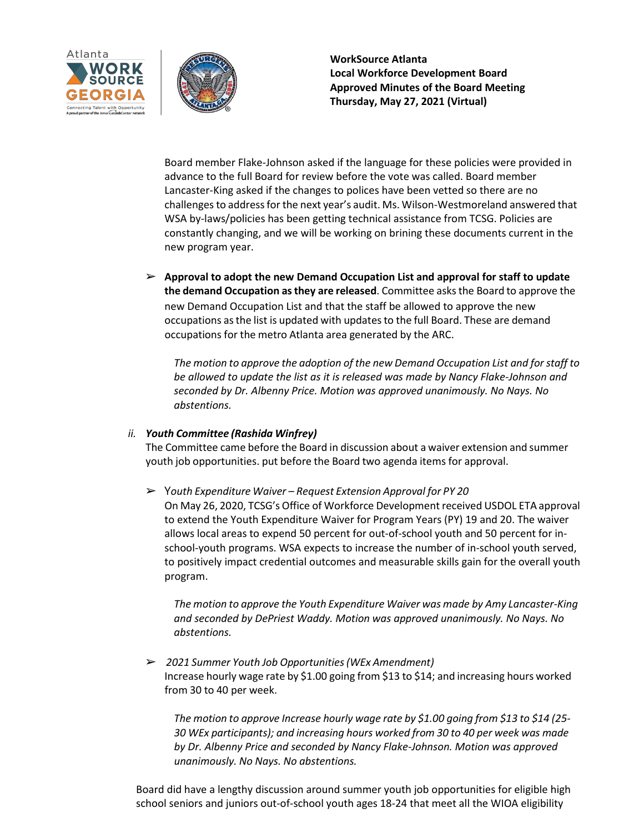



Board member Flake-Johnson asked if the language for these policies were provided in advance to the full Board for review before the vote was called. Board member Lancaster-King asked if the changes to polices have been vetted so there are no challengesto addressfor the next year's audit. Ms. Wilson-Westmoreland answered that WSA by-laws/policies has been getting technical assistance from TCSG. Policies are constantly changing, and we will be working on brining these documents current in the new program year.

➢ **Approval to adopt the new Demand Occupation List and approval for staff to update the demand Occupation asthey are released**. Committee asksthe Board to approve the new Demand Occupation List and that the staff be allowed to approve the new occupations as the list is updated with updates to the full Board. These are demand occupations for the metro Atlanta area generated by the ARC.

*The motion to approve the adoption of the new Demand Occupation List and for staff to be allowed to update the list as it is released was made by Nancy Flake-Johnson and seconded by Dr. Albenny Price. Motion was approved unanimously. No Nays. No abstentions.*

# *ii. Youth Committee (Rashida Winfrey)*

The Committee came before the Board in discussion about a waiver extension and summer youth job opportunities. put before the Board two agenda items for approval.

➢ Y*outh Expenditure Waiver – Request Extension Approval for PY 20* On May 26, 2020, TCSG's Office of Workforce Development received USDOL ETA approval to extend the Youth Expenditure Waiver for Program Years (PY) 19 and 20. The waiver allows local areas to expend 50 percent for out-of-school youth and 50 percent for inschool-youth programs. WSA expects to increase the number of in-school youth served, to positively impact credential outcomes and measurable skills gain for the overall youth program.

*The motion to approve the Youth Expenditure Waiver was made by Amy Lancaster-King and seconded by DePriest Waddy. Motion was approved unanimously. No Nays. No abstentions.*

➢ *2021 Summer Youth Job Opportunities(WEx Amendment)* Increase hourly wage rate by \$1.00 going from \$13 to \$14; and increasing hours worked from 30 to 40 per week.

*The motion to approve Increase hourly wage rate by \$1.00 going from \$13 to \$14 (25- 30 WEx participants); and increasing hours worked from 30 to 40 per week was made by Dr. Albenny Price and seconded by Nancy Flake-Johnson. Motion was approved unanimously. No Nays. No abstentions.*

Board did have a lengthy discussion around summer youth job opportunities for eligible high school seniors and juniors out-of-school youth ages 18-24 that meet all the WIOA eligibility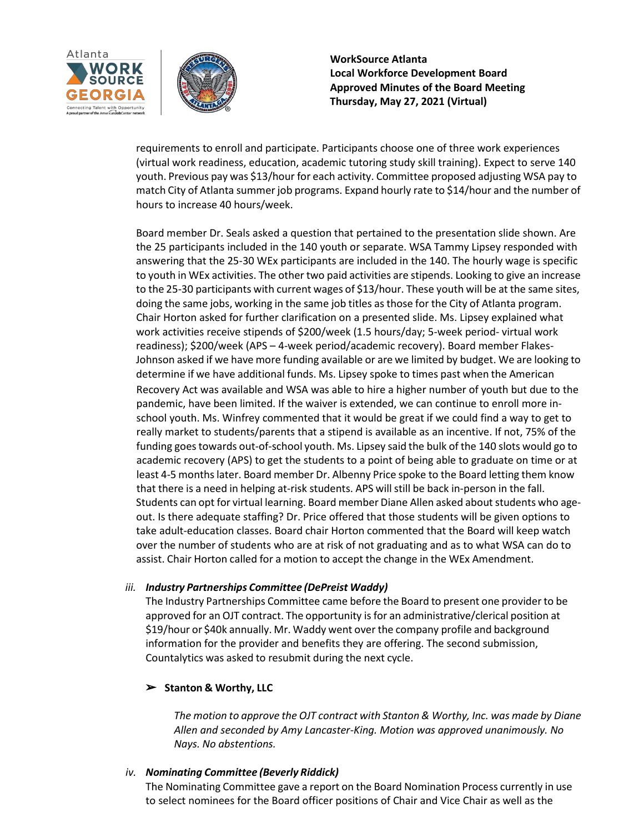



requirements to enroll and participate. Participants choose one of three work experiences (virtual work readiness, education, academic tutoring study skill training). Expect to serve 140 youth. Previous pay was \$13/hour for each activity. Committee proposed adjusting WSA pay to match City of Atlanta summerjob programs. Expand hourly rate to \$14/hour and the number of hours to increase 40 hours/week.

Board member Dr. Seals asked a question that pertained to the presentation slide shown. Are the 25 participants included in the 140 youth or separate. WSA Tammy Lipsey responded with answering that the 25-30 WEx participants are included in the 140. The hourly wage is specific to youth in WEx activities. The other two paid activities are stipends. Looking to give an increase to the 25-30 participants with current wages of \$13/hour. These youth will be at the same sites, doing the same jobs, working in the same job titles as those for the City of Atlanta program. Chair Horton asked for further clarification on a presented slide. Ms. Lipsey explained what work activities receive stipends of \$200/week (1.5 hours/day; 5-week period- virtual work readiness); \$200/week (APS – 4-week period/academic recovery). Board member Flakes-Johnson asked if we have more funding available or are we limited by budget. We are looking to determine if we have additional funds. Ms. Lipsey spoke to times past when the American Recovery Act was available and WSA was able to hire a higher number of youth but due to the pandemic, have been limited. If the waiver is extended, we can continue to enroll more inschool youth. Ms. Winfrey commented that it would be great if we could find a way to get to really market to students/parents that a stipend is available as an incentive. If not, 75% of the funding goestowards out-of-school youth. Ms. Lipsey said the bulk of the 140 slots would go to academic recovery (APS) to get the students to a point of being able to graduate on time or at least 4-5 monthslater. Board member Dr. Albenny Price spoke to the Board letting them know that there is a need in helping at-risk students. APS will still be back in-person in the fall. Students can opt for virtual learning. Board member Diane Allen asked about students who ageout. Is there adequate staffing? Dr. Price offered that those students will be given options to take adult-education classes. Board chair Horton commented that the Board will keep watch over the number of students who are at risk of not graduating and as to what WSA can do to assist. Chair Horton called for a motion to accept the change in the WEx Amendment.

# *iii. Industry Partnerships Committee (DePreist Waddy)*

The Industry Partnerships Committee came before the Board to present one provider to be approved for an OJT contract. The opportunity is for an administrative/clerical position at \$19/hour or \$40k annually. Mr. Waddy went over the company profile and background information for the provider and benefits they are offering. The second submission, Countalytics was asked to resubmit during the next cycle.

# ➢ **Stanton & Worthy, LLC**

*The motion to approve the OJT contract with Stanton & Worthy, Inc. was made by Diane Allen and seconded by Amy Lancaster-King. Motion was approved unanimously. No Nays. No abstentions.*

# *iv. Nominating Committee (Beverly Riddick)*

The Nominating Committee gave a report on the Board Nomination Process currently in use to select nominees for the Board officer positions of Chair and Vice Chair as well as the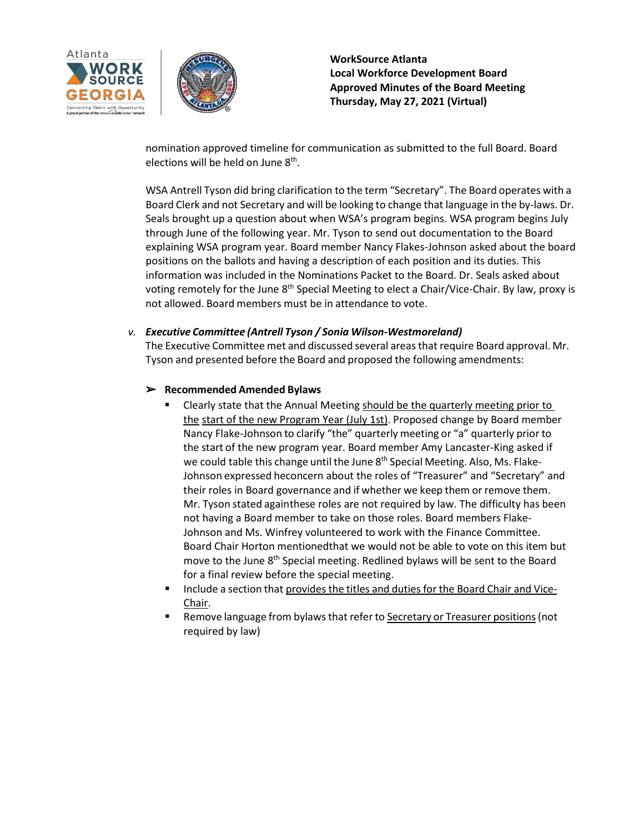



nomination approved timeline for communication as submitted to the full Board. Board elections will be held on June 8<sup>th</sup>.

WSA Antrell Tyson did bring clarification to the term "Secretary". The Board operates with a Board Clerk and not Secretary and will be looking to change that language in the by-laws. Dr. Seals brought up a question about when WSA's program begins. WSA program begins July through June of the following year. Mr. Tyson to send out documentation to the Board explaining WSA program year. Board member Nancy Flakes-Johnson asked about the board positions on the ballots and having a description of each position and its duties. This information was included in the Nominations Packet to the Board. Dr. Seals asked about voting remotely for the June 8<sup>th</sup> Special Meeting to elect a Chair/Vice-Chair. By law, proxy is not allowed. Board members must be in attendance to vote.

# *v. Executive Committee (Antrell Tyson / Sonia Wilson-Westmoreland)*

The Executive Committee met and discussed several areasthat require Board approval. Mr. Tyson and presented before the Board and proposed the following amendments:

# ➢ **Recommended Amended Bylaws**

- Clearly state that the Annual Meeting should be the quarterly meeting prior to the start of the new Program Year (July 1st). Proposed change by Board member Nancy Flake-Johnson to clarify "the" quarterly meeting or "a" quarterly prior to the start of the new program year. Board member Amy Lancaster-King asked if we could table this change until the June 8<sup>th</sup> Special Meeting. Also, Ms. Flake-Johnson expressed heconcern about the roles of "Treasurer" and "Secretary" and their roles in Board governance and if whether we keep them or remove them. Mr. Tyson stated againthese roles are not required by law. The difficulty has been not having a Board member to take on those roles. Board members Flake-Johnson and Ms. Winfrey volunteered to work with the Finance Committee. Board Chair Horton mentionedthat we would not be able to vote on this item but move to the June 8<sup>th</sup> Special meeting. Redlined bylaws will be sent to the Board for a final review before the special meeting.
- **Include a section that provides the titles and duties for the Board Chair and Vice-**Chair.
- Remove language from bylaws that refer to Secretary or Treasurer positions (not required by law)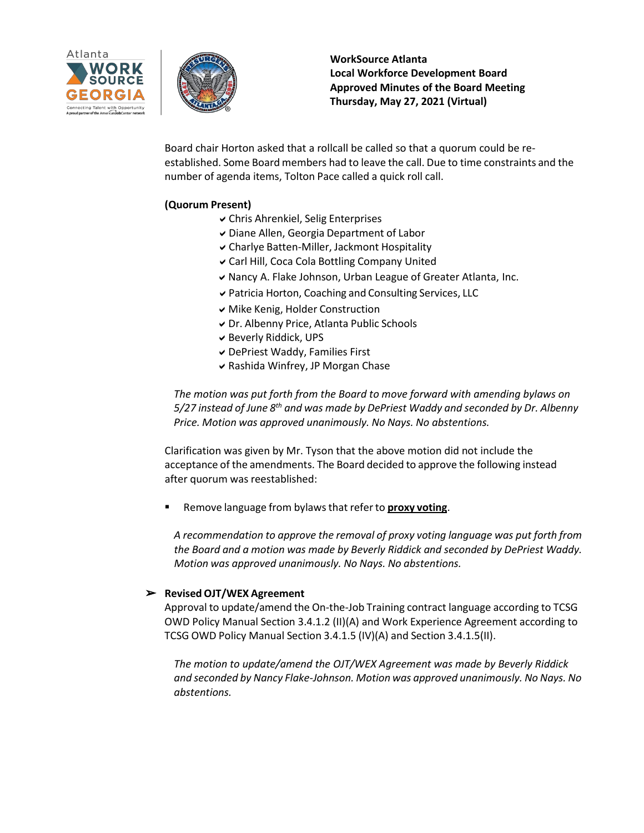



Board chair Horton asked that a rollcall be called so that a quorum could be reestablished. Some Board members had to leave the call. Due to time constraints and the number of agenda items, Tolton Pace called a quick roll call.

# **(Quorum Present)**

- Chris Ahrenkiel, Selig Enterprises
- Diane Allen, Georgia Department of Labor
- Charlye Batten-Miller, Jackmont Hospitality
- Carl Hill, Coca Cola Bottling Company United
- Nancy A. Flake Johnson, Urban League of Greater Atlanta, Inc.
- Patricia Horton, Coaching and Consulting Services, LLC
- Mike Kenig, Holder Construction
- Dr. Albenny Price, Atlanta Public Schools
- Beverly Riddick, UPS
- DePriest Waddy, Families First
- $\vee$  Rashida Winfrey, JP Morgan Chase

*The motion was put forth from the Board to move forward with amending bylaws on 5/27 instead of June 8th and was made by DePriest Waddy and seconded by Dr. Albenny Price. Motion was approved unanimously. No Nays. No abstentions.*

Clarification was given by Mr. Tyson that the above motion did not include the acceptance of the amendments. The Board decided to approve the following instead after quorum was reestablished:

Remove language from bylawsthat referto **proxy voting**.

*A recommendation to approve the removal of proxy voting language was put forth from the Board and a motion was made by Beverly Riddick and seconded by DePriest Waddy. Motion was approved unanimously. No Nays. No abstentions.*

# ➢ **Revised OJT/WEX Agreement**

Approval to update/amend the On-the-Job Training contract language according to TCSG OWD Policy Manual Section 3.4.1.2 (II)(A) and Work Experience Agreement according to TCSG OWD Policy Manual Section 3.4.1.5 (IV)(A) and Section 3.4.1.5(II).

*The motion to update/amend the OJT/WEX Agreement was made by Beverly Riddick and seconded by Nancy Flake-Johnson. Motion was approved unanimously. No Nays. No abstentions.*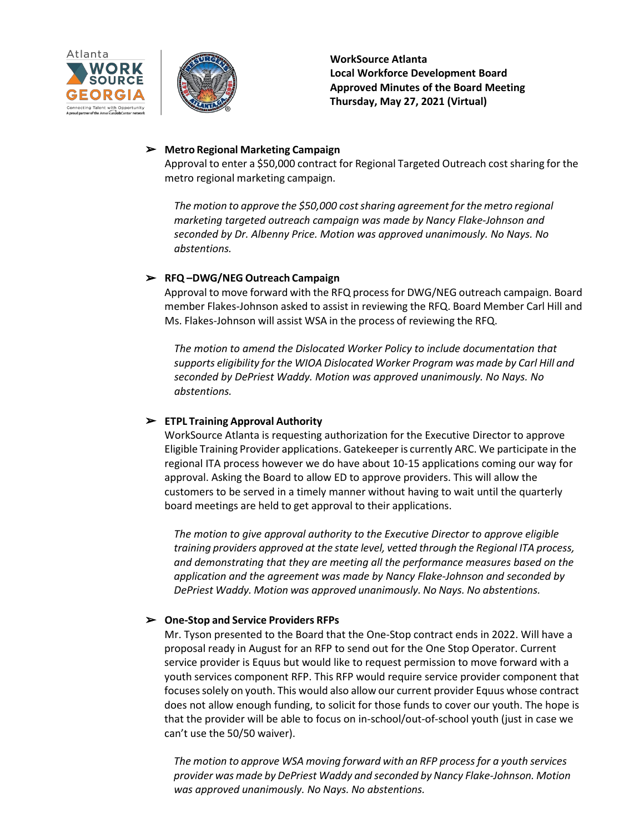



#### ➢ **Metro Regional Marketing Campaign**

Approval to enter a \$50,000 contract for Regional Targeted Outreach cost sharing for the metro regional marketing campaign.

*The motion to approve the \$50,000 costsharing agreement for the metro regional marketing targeted outreach campaign was made by Nancy Flake-Johnson and seconded by Dr. Albenny Price. Motion was approved unanimously. No Nays. No abstentions.*

# ➢ **RFQ –DWG/NEG Outreach Campaign**

Approval to move forward with the RFQ process for DWG/NEG outreach campaign. Board member Flakes-Johnson asked to assist in reviewing the RFQ. Board Member Carl Hill and Ms. Flakes-Johnson will assist WSA in the process of reviewing the RFQ.

*The motion to amend the Dislocated Worker Policy to include documentation that supports eligibility for the WIOA Dislocated Worker Program was made by Carl Hill and seconded by DePriest Waddy. Motion was approved unanimously. No Nays. No abstentions.*

# ➢ **ETPL Training Approval Authority**

WorkSource Atlanta is requesting authorization for the Executive Director to approve Eligible Training Provider applications. Gatekeeper is currently ARC. We participate in the regional ITA process however we do have about 10-15 applications coming our way for approval. Asking the Board to allow ED to approve providers. This will allow the customers to be served in a timely manner without having to wait until the quarterly board meetings are held to get approval to their applications.

*The motion to give approval authority to the Executive Director to approve eligible training providers approved at the state level, vetted through the Regional ITA process, and demonstrating that they are meeting all the performance measures based on the application and the agreement was made by Nancy Flake-Johnson and seconded by DePriest Waddy. Motion was approved unanimously. No Nays. No abstentions.*

# ➢ **One-Stop and Service Providers RFPs**

Mr. Tyson presented to the Board that the One-Stop contract ends in 2022. Will have a proposal ready in August for an RFP to send out for the One Stop Operator. Current service provider is Equus but would like to request permission to move forward with a youth services component RFP. This RFP would require service provider component that focusessolely on youth. This would also allow our current provider Equus whose contract does not allow enough funding, to solicit for those funds to cover our youth. The hope is that the provider will be able to focus on in-school/out-of-school youth (just in case we can't use the 50/50 waiver).

*The motion to approve WSA moving forward with an RFP process for a youth services provider was made by DePriest Waddy and seconded by Nancy Flake-Johnson. Motion was approved unanimously. No Nays. No abstentions.*